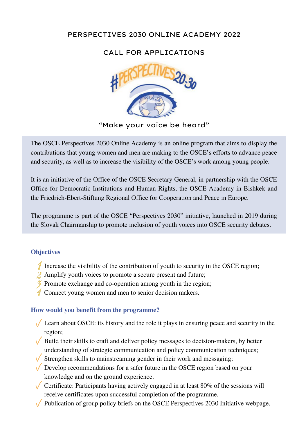# PERSPECTIVES 2030 ONLINE ACADEMY 2022

# CALL FOR APPLICATIONS



"Make your voice be heard"

The OSCE Perspectives 2030 Online Academy is an online program that aims to display the contributions that young women and men are making to the OSCE's efforts to advance peace and security, as well as to increase the visibility of the OSCE's work among young people.

It is an initiative of the Office of the OSCE Secretary General, in partnership with the OSCE Office for Democratic Institutions and Human Rights, the OSCE Academy in Bishkek and the Friedrich-Ebert-Stiftung Regional Office for Cooperation and Peace in Europe.

The programme is part of the OSCE "Perspectives 2030" initiative, launched in 2019 during the Slovak Chairmanship to promote inclusion of youth voices into OSCE security debates.

## **Objectives**

- Increase the visibility of the contribution of youth to security in the OSCE region;
- 2 Amplify youth voices to promote a secure present and future;
- $\delta$  Promote exchange and co-operation among youth in the region;
- 4 Connect young women and men to senior decision makers.

#### **How would you benefit from the programme?**

- Learn about OSCE: its history and the role it plays in ensuring peace and security in the region;
- $\sqrt{\frac{1}{\sqrt{\pi}}}$  Build their skills to craft and deliver policy messages to decision-makers, by better understanding of strategic communication and policy communication techniques;
- $\sqrt{\frac{1}{2}}$  Strengthen skills to mainstreaming gender in their work and messaging;
- $\sqrt{\phantom{a}}$  Develop recommendations for a safer future in the OSCE region based on your knowledge and on the ground experience.
- $\sqrt{\phantom{a}}$  Certificate: Participants having actively engaged in at least 80% of the sessions will receive certificates upon successful completion of the programme.
- $\sqrt{\frac{P_{\text{m}}}{P_{\text{m}}}}$  Publication of group policy briefs on the OSCE Perspectives 2030 Initiative [webpage.](https://www.osce.org/perspectives2030)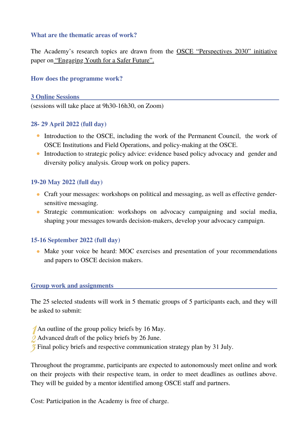### **What are the thematic areas of work?**

The Academy's research topics are drawn from the OSCE ["Perspectives](https://www.osce.org/perspectives2030) 2030" initiative paper on ["Engaging](https://www.osce.org/files/f/documents/c/c/441371_0.pdf) Youth for a Safer Future".

### **How does the programme work?**

**3 Online Sessions** (sessions will take place at 9h30-16h30, on Zoom)

#### **28- 29 April 2022 (full day)**

- Introduction to the OSCE, including the work of the Permanent Council, the work of OSCE Institutions and Field Operations, and policy-making at the OSCE.
- Introduction to strategic policy advice: evidence based policy advocacy and gender and diversity policy analysis. Group work on policy papers.

### **19-20 May 2022 (full day)**

- Craft your messages: workshops on political and messaging, as well as effective gendersensitive messaging.
- Strategic communication: workshops on advocacy campaigning and social media, shaping your messages towards decision-makers, develop your advocacy campaign.

#### **15-16 September 2022 (full day)**

• Make your voice be heard: MOC exercises and presentation of your recommendations and papers to OSCE decision makers.

#### **Group work and assignments**

The 25 selected students will work in 5 thematic groups of 5 participants each, and they will be asked to submit:

- An outline of the group policy briefs by 16 May.
- 2 Advanced draft of the policy briefs by 26 June.
- **Final policy briefs and respective communication strategy plan by 31 July.**

Throughout the programme, participants are expected to autonomously meet online and work on their projects with their respective team, in order to meet deadlines as outlines above. They will be guided by a mentor identified among OSCE staff and partners.

Cost: Participation in the Academy is free of charge.